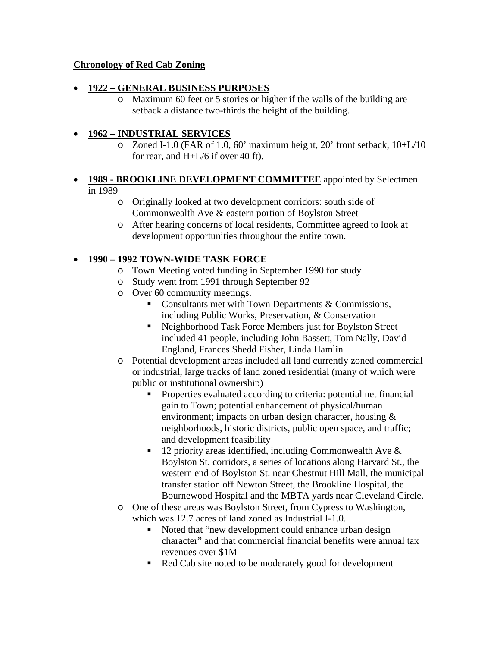### **Chronology of Red Cab Zoning**

# • **1922 – GENERAL BUSINESS PURPOSES**

o Maximum 60 feet or 5 stories or higher if the walls of the building are setback a distance two-thirds the height of the building.

# • **1962 – INDUSTRIAL SERVICES**

o Zoned I-1.0 (FAR of 1.0, 60' maximum height, 20' front setback, 10+L/10 for rear, and H+L/6 if over 40 ft).

### • **1989 - BROOKLINE DEVELOPMENT COMMITTEE** appointed by Selectmen in 1989

- o Originally looked at two development corridors: south side of Commonwealth Ave & eastern portion of Boylston Street
- o After hearing concerns of local residents, Committee agreed to look at development opportunities throughout the entire town.

# • **1990 – 1992 TOWN-WIDE TASK FORCE**

- o Town Meeting voted funding in September 1990 for study
- o Study went from 1991 through September 92
- o Over 60 community meetings.
	- Consultants met with Town Departments  $&$  Commissions, including Public Works, Preservation, & Conservation
	- Neighborhood Task Force Members just for Boylston Street included 41 people, including John Bassett, Tom Nally, David England, Frances Shedd Fisher, Linda Hamlin
- o Potential development areas included all land currently zoned commercial or industrial, large tracks of land zoned residential (many of which were public or institutional ownership)
	- **Properties evaluated according to criteria: potential net financial** gain to Town; potential enhancement of physical/human environment; impacts on urban design character, housing & neighborhoods, historic districts, public open space, and traffic; and development feasibility
	- $\blacksquare$  12 priority areas identified, including Commonwealth Ave & Boylston St. corridors, a series of locations along Harvard St., the western end of Boylston St. near Chestnut Hill Mall, the municipal transfer station off Newton Street, the Brookline Hospital, the Bournewood Hospital and the MBTA yards near Cleveland Circle.
- o One of these areas was Boylston Street, from Cypress to Washington, which was 12.7 acres of land zoned as Industrial I-1.0.
	- Noted that "new development could enhance urban design character" and that commercial financial benefits were annual tax revenues over \$1M
	- Red Cab site noted to be moderately good for development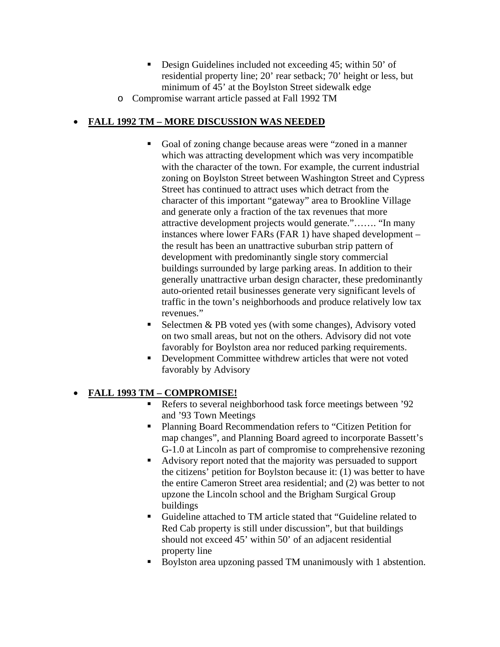- Design Guidelines included not exceeding 45; within 50' of residential property line; 20' rear setback; 70' height or less, but minimum of 45' at the Boylston Street sidewalk edge
- o Compromise warrant article passed at Fall 1992 TM

# • **FALL 1992 TM – MORE DISCUSSION WAS NEEDED**

- Goal of zoning change because areas were "zoned in a manner which was attracting development which was very incompatible with the character of the town. For example, the current industrial zoning on Boylston Street between Washington Street and Cypress Street has continued to attract uses which detract from the character of this important "gateway" area to Brookline Village and generate only a fraction of the tax revenues that more attractive development projects would generate."……. "In many instances where lower FARs (FAR 1) have shaped development – the result has been an unattractive suburban strip pattern of development with predominantly single story commercial buildings surrounded by large parking areas. In addition to their generally unattractive urban design character, these predominantly auto-oriented retail businesses generate very significant levels of traffic in the town's neighborhoods and produce relatively low tax revenues."
- Selectmen  $&$  PB voted yes (with some changes), Advisory voted on two small areas, but not on the others. Advisory did not vote favorably for Boylston area nor reduced parking requirements.
- Development Committee withdrew articles that were not voted favorably by Advisory

# • **FALL 1993 TM – COMPROMISE!**

- Refers to several neighborhood task force meetings between '92 and '93 Town Meetings
- Planning Board Recommendation refers to "Citizen Petition for map changes", and Planning Board agreed to incorporate Bassett's G-1.0 at Lincoln as part of compromise to comprehensive rezoning
- Advisory report noted that the majority was persuaded to support the citizens' petition for Boylston because it: (1) was better to have the entire Cameron Street area residential; and (2) was better to not upzone the Lincoln school and the Brigham Surgical Group buildings
- Guideline attached to TM article stated that "Guideline related to Red Cab property is still under discussion", but that buildings should not exceed 45' within 50' of an adjacent residential property line
- Boylston area upzoning passed TM unanimously with 1 abstention.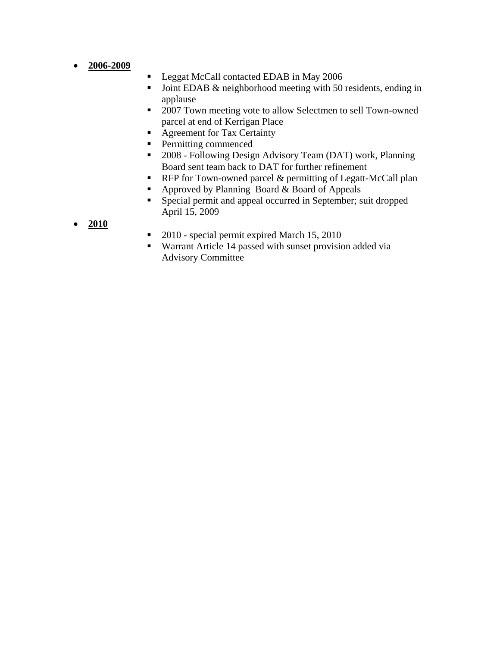- **2006-2009**
- **Leggat McCall contacted EDAB in May 2006**
- Joint EDAB & neighborhood meeting with 50 residents, ending in applause
- 2007 Town meeting vote to allow Selectmen to sell Town-owned parcel at end of Kerrigan Place
- **Agreement for Tax Certainty**
- Permitting commenced
- 2008 Following Design Advisory Team (DAT) work, Planning Board sent team back to DAT for further refinement
- **RFP** for Town-owned parcel & permitting of Legatt-McCall plan
- Approved by Planning Board & Board of Appeals
- Special permit and appeal occurred in September; suit dropped April 15, 2009

#### • **2010**

- 2010 special permit expired March 15, 2010
- Warrant Article 14 passed with sunset provision added via Advisory Committee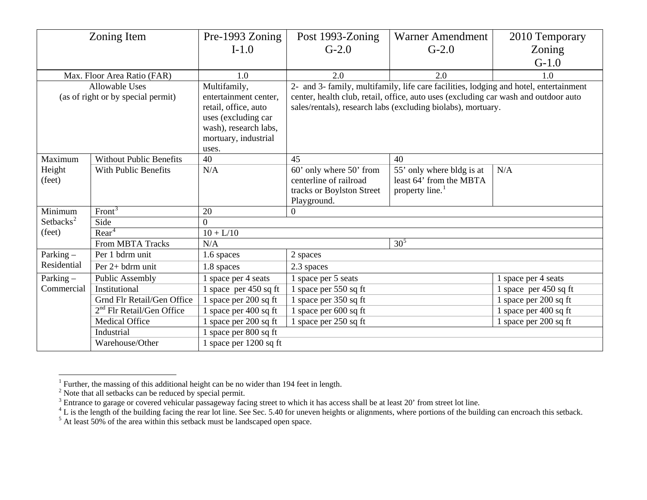| Zoning Item                                                 |                                       | Pre-1993 Zoning                                                                                                                                | Post 1993-Zoning                                                                                                                                                                                                                             | <b>Warner Amendment</b>                                                             | 2010 Temporary        |  |  |  |  |
|-------------------------------------------------------------|---------------------------------------|------------------------------------------------------------------------------------------------------------------------------------------------|----------------------------------------------------------------------------------------------------------------------------------------------------------------------------------------------------------------------------------------------|-------------------------------------------------------------------------------------|-----------------------|--|--|--|--|
|                                                             |                                       | $I-1.0$                                                                                                                                        | $G-2.0$                                                                                                                                                                                                                                      | $G-2.0$                                                                             | Zoning                |  |  |  |  |
|                                                             |                                       |                                                                                                                                                |                                                                                                                                                                                                                                              |                                                                                     | $G-1.0$               |  |  |  |  |
|                                                             | Max. Floor Area Ratio (FAR)           | 1.0                                                                                                                                            | 2.0                                                                                                                                                                                                                                          | 2.0                                                                                 | 1.0                   |  |  |  |  |
| <b>Allowable Uses</b><br>(as of right or by special permit) |                                       | Multifamily,<br>entertainment center,<br>retail, office, auto<br>uses (excluding car<br>wash), research labs,<br>mortuary, industrial<br>uses. | 2- and 3- family, multifamily, life care facilities, lodging and hotel, entertainment<br>center, health club, retail, office, auto uses (excluding car wash and outdoor auto<br>sales/rentals), research labs (excluding biolabs), mortuary. |                                                                                     |                       |  |  |  |  |
| Maximum                                                     | <b>Without Public Benefits</b>        | 40                                                                                                                                             | 45                                                                                                                                                                                                                                           | 40                                                                                  |                       |  |  |  |  |
| Height<br>(feet)                                            | <b>With Public Benefits</b>           | N/A                                                                                                                                            | 60' only where 50' from<br>centerline of railroad<br>tracks or Boylston Street<br>Playground.                                                                                                                                                | 55' only where bldg is at<br>least 64' from the MBTA<br>property line. <sup>1</sup> | N/A                   |  |  |  |  |
| Minimum                                                     | Front <sup>3</sup>                    | 20                                                                                                                                             | $\Omega$                                                                                                                                                                                                                                     |                                                                                     |                       |  |  |  |  |
| Setbacks <sup>2</sup>                                       | Side                                  | $\overline{0}$                                                                                                                                 |                                                                                                                                                                                                                                              |                                                                                     |                       |  |  |  |  |
| (feet)                                                      | $Rear^4$                              | $10 + L/10$                                                                                                                                    |                                                                                                                                                                                                                                              |                                                                                     |                       |  |  |  |  |
|                                                             | <b>From MBTA Tracks</b>               | N/A                                                                                                                                            |                                                                                                                                                                                                                                              | 30 <sup>5</sup>                                                                     |                       |  |  |  |  |
| Parking $-$                                                 | Per 1 bdrm unit                       | 1.6 spaces                                                                                                                                     | 2 spaces                                                                                                                                                                                                                                     |                                                                                     |                       |  |  |  |  |
| Residential                                                 | Per $2+$ bdrm unit                    | 1.8 spaces                                                                                                                                     | 2.3 spaces                                                                                                                                                                                                                                   |                                                                                     |                       |  |  |  |  |
| Parking $-$                                                 | <b>Public Assembly</b>                | 1 space per 4 seats                                                                                                                            | 1 space per 5 seats                                                                                                                                                                                                                          |                                                                                     | 1 space per 4 seats   |  |  |  |  |
| Commercial                                                  | Institutional                         | 1 space per $450$ sq ft                                                                                                                        | 1 space per 550 sq ft                                                                                                                                                                                                                        |                                                                                     | 1 space per 450 sq ft |  |  |  |  |
|                                                             | Grnd Flr Retail/Gen Office            | 1 space per 200 sq ft                                                                                                                          | 1 space per 350 sq ft                                                                                                                                                                                                                        | 1 space per 200 sq ft                                                               |                       |  |  |  |  |
|                                                             | 2 <sup>nd</sup> Flr Retail/Gen Office | 1 space per 400 sq ft                                                                                                                          | 1 space per 600 sq ft                                                                                                                                                                                                                        |                                                                                     | 1 space per 400 sq ft |  |  |  |  |
|                                                             | <b>Medical Office</b>                 | space per 200 sq ft                                                                                                                            | 1 space per 250 sq ft                                                                                                                                                                                                                        |                                                                                     | 1 space per 200 sq ft |  |  |  |  |
|                                                             | Industrial                            | 1 space per 800 sq ft                                                                                                                          |                                                                                                                                                                                                                                              |                                                                                     |                       |  |  |  |  |
|                                                             | Warehouse/Other                       | 1 space per $1200$ sq ft                                                                                                                       |                                                                                                                                                                                                                                              |                                                                                     |                       |  |  |  |  |

<span id="page-3-0"></span><sup>&</sup>lt;sup>1</sup> Further, the massing of this additional height can be no wider than 194 feet in length.

<span id="page-3-1"></span> $2^2$  Note that all setbacks can be reduced by special permit.

 $3$  Entrance to garage or covered vehicular passageway facing street to which it has access shall be at least 20' from street lot line.

<span id="page-3-4"></span><span id="page-3-3"></span><span id="page-3-2"></span> $4^4$  L is the length of the building facing the rear lot line. See Sec. 5.40 for uneven heights or alignments, where portions of the building can encroach this setback.

 $<sup>5</sup>$  At least 50% of the area within this setback must be landscaped open space.</sup>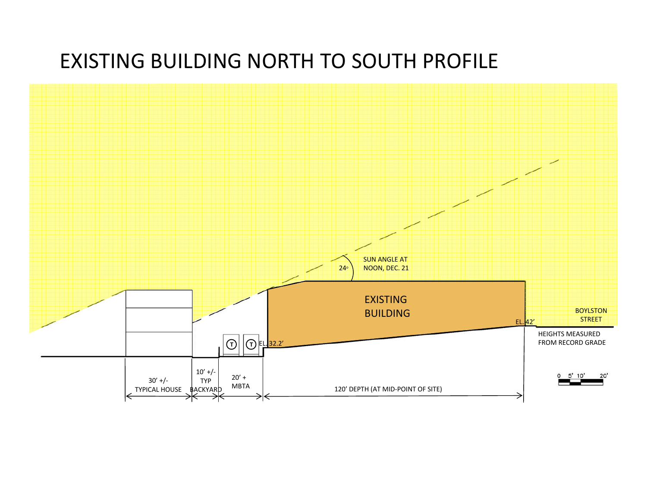# EXISTING BUILDING NORTH TO SOUTH PROFILE

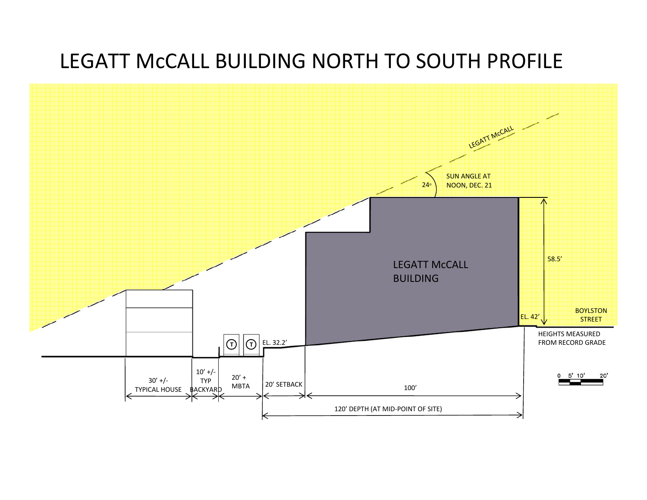# LEGATT McCALL BUILDING NORTH TO SOUTH PROFILE

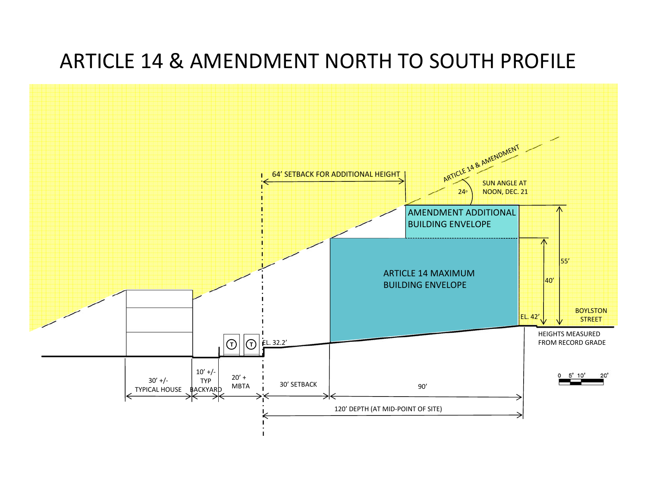# ARTICLE 14 & AMENDMENT NORTH TO SOUTH PROFILE

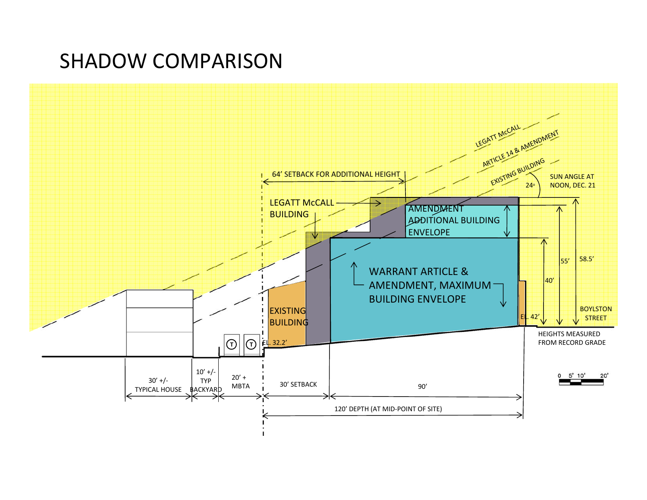# SHADOW COMPARISON

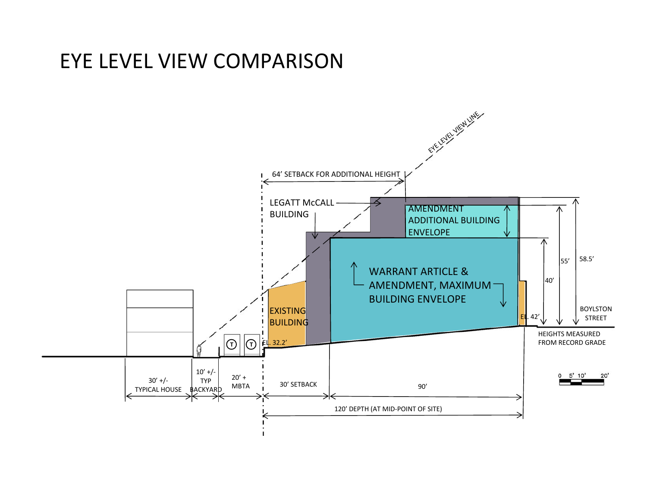# EYE LEVEL VIEW COMPARISON

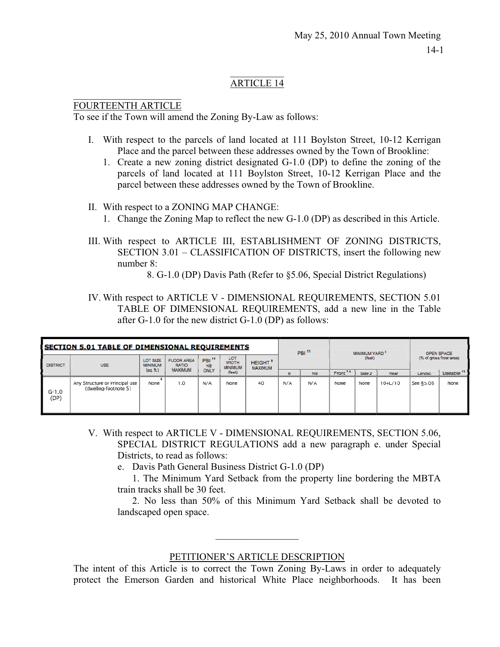#### $\overline{\phantom{a}}$ ARTICLE 14

#### FOURTEENTH ARTICLE

To see if the Town will amend the Zoning By-Law as follows:

- I. With respect to the parcels of land located at 111 Boylston Street, 10-12 Kerrigan Place and the parcel between these addresses owned by the Town of Brookline:
	- 1. Create a new zoning district designated G-1.0 (DP) to define the zoning of the parcels of land located at 111 Boylston Street, 10-12 Kerrigan Place and the parcel between these addresses owned by the Town of Brookline.
- II. With respect to a ZONING MAP CHANGE:
	- 1. Change the Zoning Map to reflect the new G-1.0 (DP) as described in this Article.
- III. With respect to ARTICLE III, ESTABLISHMENT OF ZONING DISTRICTS, SECTION 3.01 – CLASSIFICATION OF DISTRICTS, insert the following new number 8:
	- 8. G-1.0 (DP) Davis Path (Refer to §5.06, Special District Regulations)
- IV. With respect to ARTICLE V DIMENSIONAL REQUIREMENTS, SECTION 5.01 TABLE OF DIMENSIONAL REQUIREMENTS, add a new line in the Table after G-1.0 for the new district G-1.0 (DP) as follows:

| <b>SECTION 5.01 TABLE OF DIMENSIONAL REQUIREMENTS</b> |                                                         |                                         |                                              |                                        |                                       |                                              |     | <b>PBI</b> <sup>11</sup> |                     | MINIMUM YARD <sup>3</sup> | OPEN SPACE |                          |                       |
|-------------------------------------------------------|---------------------------------------------------------|-----------------------------------------|----------------------------------------------|----------------------------------------|---------------------------------------|----------------------------------------------|-----|--------------------------|---------------------|---------------------------|------------|--------------------------|-----------------------|
| <b>DISTRICT</b>                                       | <b>USE</b>                                              | LOT SIZE<br><b>MINIMUM</b><br>(sq, ft.) | <b>FLOOR AREA</b><br><b>RATIO</b><br>MAXIMUM | PBI <sup>11</sup><br><b>NB</b><br>ONLY | LOT<br><b>WIDTH</b><br><b>MINIMUM</b> | <b>HEIGHT</b> <sup>9</sup><br><b>MAXIMUM</b> |     |                          | (faet)              |                           |            | (% of gross floor area). |                       |
|                                                       |                                                         |                                         |                                              |                                        | (feet)                                |                                              | в   | NB.                      | From <sup>1.8</sup> | Side 2                    | Rear       | Landsc.                  | Useable <sup>13</sup> |
| $G-1.0$<br>(DP)                                       | Any Structure or Principal use<br>(dwelling-footnote 5) | None                                    | 1.0                                          | N/A                                    | None                                  | 40                                           | N/A | N/A                      | None                | None                      | $10+L/10$  | See $$5.06$              | None                  |

V. With respect to ARTICLE V - DIMENSIONAL REQUIREMENTS, SECTION 5.06, SPECIAL DISTRICT REGULATIONS add a new paragraph e. under Special Districts, to read as follows:

e. Davis Path General Business District G-1.0 (DP)

1. The Minimum Yard Setback from the property line bordering the MBTA train tracks shall be 30 feet.

2. No less than 50% of this Minimum Yard Setback shall be devoted to landscaped open space.

#### PETITIONER'S ARTICLE DESCRIPTION

The intent of this Article is to correct the Town Zoning By-Laws in order to adequately protect the Emerson Garden and historical White Place neighborhoods. It has been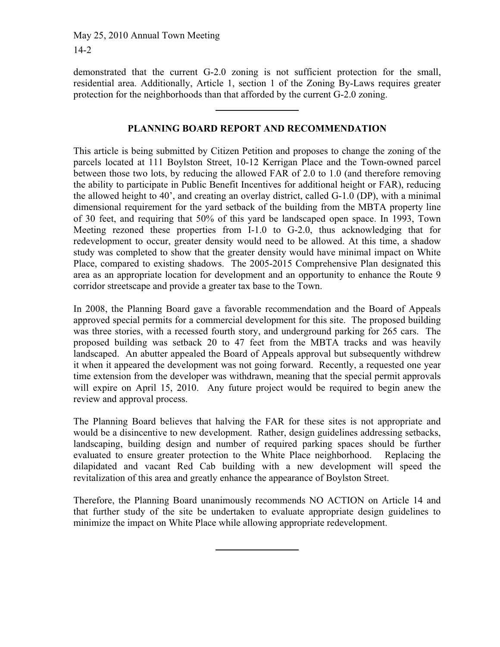# May 25, 2010 Annual Town Meeting 14-2

demonstrated that the current G-2.0 zoning is not sufficient protection for the small, residential area. Additionally, Article 1, section 1 of the Zoning By-Laws requires greater protection for the neighborhoods than that afforded by the current G-2.0 zoning.

### **PLANNING BOARD REPORT AND RECOMMENDATION**

 $\overline{\phantom{a}}$  , where  $\overline{\phantom{a}}$ 

This article is being submitted by Citizen Petition and proposes to change the zoning of the parcels located at 111 Boylston Street, 10-12 Kerrigan Place and the Town-owned parcel between those two lots, by reducing the allowed FAR of 2.0 to 1.0 (and therefore removing the ability to participate in Public Benefit Incentives for additional height or FAR), reducing the allowed height to 40', and creating an overlay district, called G-1.0 (DP), with a minimal dimensional requirement for the yard setback of the building from the MBTA property line of 30 feet, and requiring that 50% of this yard be landscaped open space. In 1993, Town Meeting rezoned these properties from I-1.0 to G-2.0, thus acknowledging that for redevelopment to occur, greater density would need to be allowed. At this time, a shadow study was completed to show that the greater density would have minimal impact on White Place, compared to existing shadows. The 2005-2015 Comprehensive Plan designated this area as an appropriate location for development and an opportunity to enhance the Route 9 corridor streetscape and provide a greater tax base to the Town.

In 2008, the Planning Board gave a favorable recommendation and the Board of Appeals approved special permits for a commercial development for this site. The proposed building was three stories, with a recessed fourth story, and underground parking for 265 cars. The proposed building was setback 20 to 47 feet from the MBTA tracks and was heavily landscaped. An abutter appealed the Board of Appeals approval but subsequently withdrew it when it appeared the development was not going forward. Recently, a requested one year time extension from the developer was withdrawn, meaning that the special permit approvals will expire on April 15, 2010. Any future project would be required to begin anew the review and approval process.

The Planning Board believes that halving the FAR for these sites is not appropriate and would be a disincentive to new development. Rather, design guidelines addressing setbacks, landscaping, building design and number of required parking spaces should be further evaluated to ensure greater protection to the White Place neighborhood. Replacing the dilapidated and vacant Red Cab building with a new development will speed the revitalization of this area and greatly enhance the appearance of Boylston Street.

Therefore, the Planning Board unanimously recommends NO ACTION on Article 14 and that further study of the site be undertaken to evaluate appropriate design guidelines to minimize the impact on White Place while allowing appropriate redevelopment.

 $\overline{\phantom{a}}$  , where  $\overline{\phantom{a}}$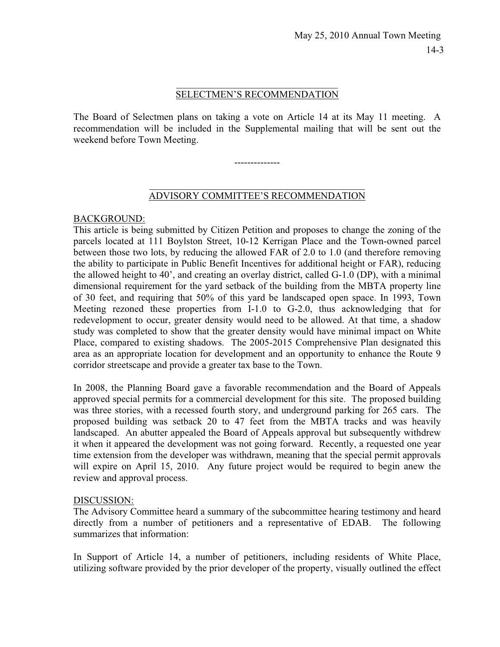#### $\mathcal{L}_\mathcal{L}$  , which is a set of the set of the set of the set of the set of the set of the set of the set of the set of the set of the set of the set of the set of the set of the set of the set of the set of the set of SELECTMEN'S RECOMMENDATION

The Board of Selectmen plans on taking a vote on Article 14 at its May 11 meeting. A recommendation will be included in the Supplemental mailing that will be sent out the weekend before Town Meeting.

--------------

#### \_\_\_\_\_\_\_\_\_\_\_\_\_\_\_\_\_\_\_\_\_\_\_\_\_\_\_\_\_\_\_\_\_\_\_\_\_\_\_\_\_\_\_\_ ADVISORY COMMITTEE'S RECOMMENDATION

#### BACKGROUND:

This article is being submitted by Citizen Petition and proposes to change the zoning of the parcels located at 111 Boylston Street, 10-12 Kerrigan Place and the Town-owned parcel between those two lots, by reducing the allowed FAR of 2.0 to 1.0 (and therefore removing the ability to participate in Public Benefit Incentives for additional height or FAR), reducing the allowed height to 40', and creating an overlay district, called G-1.0 (DP), with a minimal dimensional requirement for the yard setback of the building from the MBTA property line of 30 feet, and requiring that 50% of this yard be landscaped open space. In 1993, Town Meeting rezoned these properties from I-1.0 to G-2.0, thus acknowledging that for redevelopment to occur, greater density would need to be allowed. At that time, a shadow study was completed to show that the greater density would have minimal impact on White Place, compared to existing shadows. The 2005-2015 Comprehensive Plan designated this area as an appropriate location for development and an opportunity to enhance the Route 9 corridor streetscape and provide a greater tax base to the Town.

In 2008, the Planning Board gave a favorable recommendation and the Board of Appeals approved special permits for a commercial development for this site. The proposed building was three stories, with a recessed fourth story, and underground parking for 265 cars. The proposed building was setback 20 to 47 feet from the MBTA tracks and was heavily landscaped. An abutter appealed the Board of Appeals approval but subsequently withdrew it when it appeared the development was not going forward. Recently, a requested one year time extension from the developer was withdrawn, meaning that the special permit approvals will expire on April 15, 2010. Any future project would be required to begin anew the review and approval process.

#### DISCUSSION:

The Advisory Committee heard a summary of the subcommittee hearing testimony and heard directly from a number of petitioners and a representative of EDAB. The following summarizes that information:

In Support of Article 14, a number of petitioners, including residents of White Place, utilizing software provided by the prior developer of the property, visually outlined the effect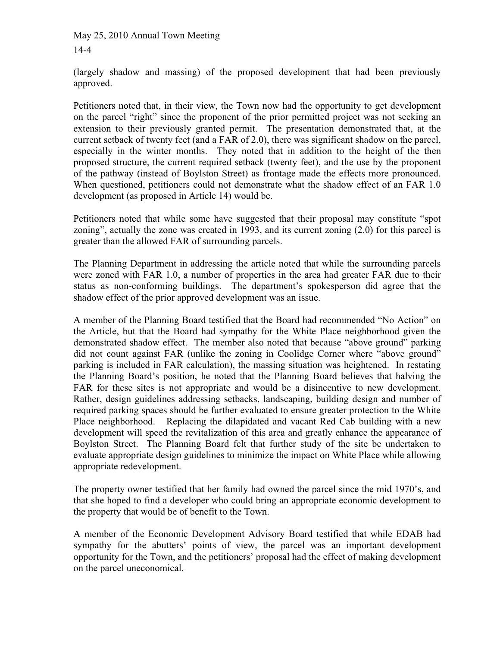May 25, 2010 Annual Town Meeting 14-4

(largely shadow and massing) of the proposed development that had been previously approved.

Petitioners noted that, in their view, the Town now had the opportunity to get development on the parcel "right" since the proponent of the prior permitted project was not seeking an extension to their previously granted permit. The presentation demonstrated that, at the current setback of twenty feet (and a FAR of 2.0), there was significant shadow on the parcel, especially in the winter months. They noted that in addition to the height of the then proposed structure, the current required setback (twenty feet), and the use by the proponent of the pathway (instead of Boylston Street) as frontage made the effects more pronounced. When questioned, petitioners could not demonstrate what the shadow effect of an FAR 1.0 development (as proposed in Article 14) would be.

Petitioners noted that while some have suggested that their proposal may constitute "spot zoning", actually the zone was created in 1993, and its current zoning (2.0) for this parcel is greater than the allowed FAR of surrounding parcels.

The Planning Department in addressing the article noted that while the surrounding parcels were zoned with FAR 1.0, a number of properties in the area had greater FAR due to their status as non-conforming buildings. The department's spokesperson did agree that the shadow effect of the prior approved development was an issue.

A member of the Planning Board testified that the Board had recommended "No Action" on the Article, but that the Board had sympathy for the White Place neighborhood given the demonstrated shadow effect. The member also noted that because "above ground" parking did not count against FAR (unlike the zoning in Coolidge Corner where "above ground" parking is included in FAR calculation), the massing situation was heightened. In restating the Planning Board's position, he noted that the Planning Board believes that halving the FAR for these sites is not appropriate and would be a disincentive to new development. Rather, design guidelines addressing setbacks, landscaping, building design and number of required parking spaces should be further evaluated to ensure greater protection to the White Place neighborhood. Replacing the dilapidated and vacant Red Cab building with a new development will speed the revitalization of this area and greatly enhance the appearance of Boylston Street. The Planning Board felt that further study of the site be undertaken to evaluate appropriate design guidelines to minimize the impact on White Place while allowing appropriate redevelopment.

The property owner testified that her family had owned the parcel since the mid 1970's, and that she hoped to find a developer who could bring an appropriate economic development to the property that would be of benefit to the Town.

A member of the Economic Development Advisory Board testified that while EDAB had sympathy for the abutters' points of view, the parcel was an important development opportunity for the Town, and the petitioners' proposal had the effect of making development on the parcel uneconomical.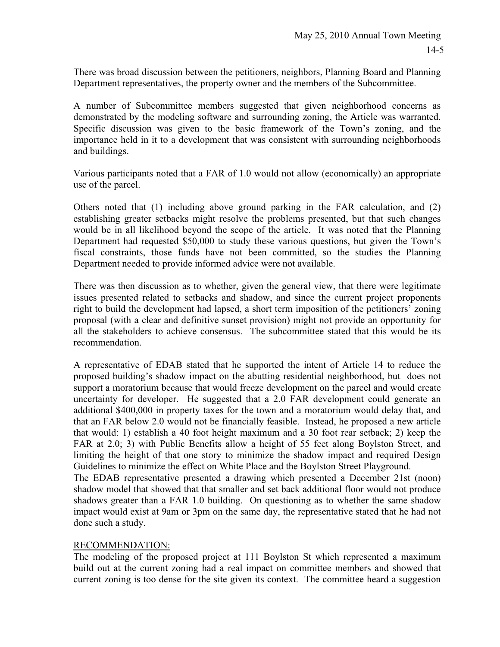There was broad discussion between the petitioners, neighbors, Planning Board and Planning Department representatives, the property owner and the members of the Subcommittee.

A number of Subcommittee members suggested that given neighborhood concerns as demonstrated by the modeling software and surrounding zoning, the Article was warranted. Specific discussion was given to the basic framework of the Town's zoning, and the importance held in it to a development that was consistent with surrounding neighborhoods and buildings.

Various participants noted that a FAR of 1.0 would not allow (economically) an appropriate use of the parcel.

Others noted that (1) including above ground parking in the FAR calculation, and (2) establishing greater setbacks might resolve the problems presented, but that such changes would be in all likelihood beyond the scope of the article. It was noted that the Planning Department had requested \$50,000 to study these various questions, but given the Town's fiscal constraints, those funds have not been committed, so the studies the Planning Department needed to provide informed advice were not available.

There was then discussion as to whether, given the general view, that there were legitimate issues presented related to setbacks and shadow, and since the current project proponents right to build the development had lapsed, a short term imposition of the petitioners' zoning proposal (with a clear and definitive sunset provision) might not provide an opportunity for all the stakeholders to achieve consensus. The subcommittee stated that this would be its recommendation.

A representative of EDAB stated that he supported the intent of Article 14 to reduce the proposed building's shadow impact on the abutting residential neighborhood, but does not support a moratorium because that would freeze development on the parcel and would create uncertainty for developer. He suggested that a 2.0 FAR development could generate an additional \$400,000 in property taxes for the town and a moratorium would delay that, and that an FAR below 2.0 would not be financially feasible. Instead, he proposed a new article that would: 1) establish a 40 foot height maximum and a 30 foot rear setback; 2) keep the FAR at 2.0; 3) with Public Benefits allow a height of 55 feet along Boylston Street, and limiting the height of that one story to minimize the shadow impact and required Design Guidelines to minimize the effect on White Place and the Boylston Street Playground.

The EDAB representative presented a drawing which presented a December 21st (noon) shadow model that showed that that smaller and set back additional floor would not produce shadows greater than a FAR 1.0 building. On questioning as to whether the same shadow impact would exist at 9am or 3pm on the same day, the representative stated that he had not done such a study.

### RECOMMENDATION:

The modeling of the proposed project at 111 Boylston St which represented a maximum build out at the current zoning had a real impact on committee members and showed that current zoning is too dense for the site given its context. The committee heard a suggestion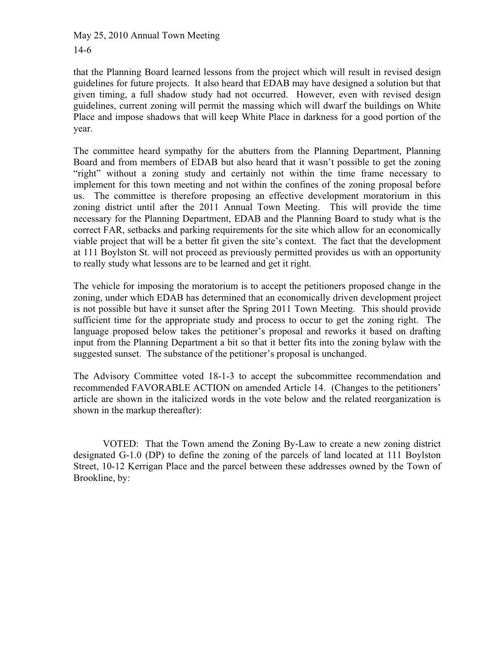# May 25, 2010 Annual Town Meeting 14-6

that the Planning Board learned lessons from the project which will result in revised design guidelines for future projects. It also heard that EDAB may have designed a solution but that given timing, a full shadow study had not occurred. However, even with revised design guidelines, current zoning will permit the massing which will dwarf the buildings on White Place and impose shadows that will keep White Place in darkness for a good portion of the year.

The committee heard sympathy for the abutters from the Planning Department, Planning Board and from members of EDAB but also heard that it wasn't possible to get the zoning "right" without a zoning study and certainly not within the time frame necessary to implement for this town meeting and not within the confines of the zoning proposal before us. The committee is therefore proposing an effective development moratorium in this zoning district until after the 2011 Annual Town Meeting. This will provide the time necessary for the Planning Department, EDAB and the Planning Board to study what is the correct FAR, setbacks and parking requirements for the site which allow for an economically viable project that will be a better fit given the site's context. The fact that the development at 111 Boylston St. will not proceed as previously permitted provides us with an opportunity to really study what lessons are to be learned and get it right.

The vehicle for imposing the moratorium is to accept the petitioners proposed change in the zoning, under which EDAB has determined that an economically driven development project is not possible but have it sunset after the Spring 2011 Town Meeting. This should provide sufficient time for the appropriate study and process to occur to get the zoning right. The language proposed below takes the petitioner's proposal and reworks it based on drafting input from the Planning Department a bit so that it better fits into the zoning bylaw with the suggested sunset. The substance of the petitioner's proposal is unchanged.

The Advisory Committee voted 18-1-3 to accept the subcommittee recommendation and recommended FAVORABLE ACTION on amended Article 14. (Changes to the petitioners' article are shown in the italicized words in the vote below and the related reorganization is shown in the markup thereafter):

VOTED: That the Town amend the Zoning By-Law to create a new zoning district designated G-1.0 (DP) to define the zoning of the parcels of land located at 111 Boylston Street, 10-12 Kerrigan Place and the parcel between these addresses owned by the Town of Brookline, by: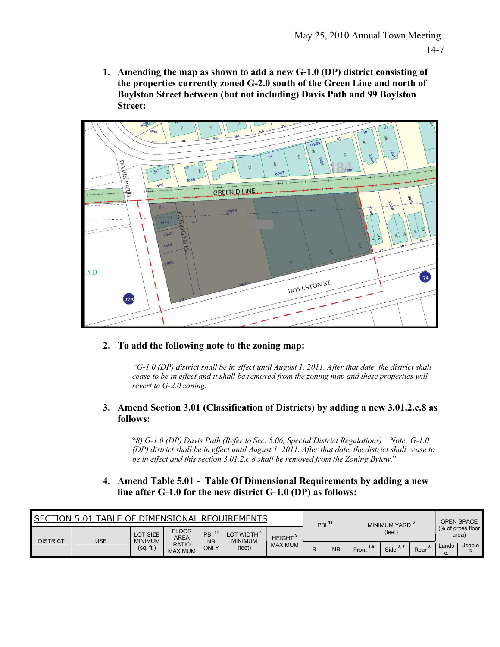**1. Amending the map as shown to add a new G-1.0 (DP) district consisting of the properties currently zoned G-2.0 south of the Green Line and north of Boylston Street between (but not including) Davis Path and 99 Boylston Street:**



#### **2. To add the following note to the zoning map:**

*"G-1.0 (DP) district shall be in effect until August 1, 2011. After that date, the district shall cease to be in effect and it shall be removed from the zoning map and these properties will revert to G-2.0 zoning."* 

#### **3. Amend Section 3.01 (Classification of Districts) by adding a new 3.01.2.c.8 as follows:**

"*8) G-1.0 (DP) Davis Path (Refer to Sec. 5.06, Special District Regulations) – Note: G-1.0 (DP) district shall be in effect until August 1, 2011. After that date, the district shall cease to be in effect and this section 3.01.2.c.8 shall be removed from the Zoning Bylaw.*"

#### **4. Amend Table 5.01 - Table Of Dimensional Requirements by adding a new line after G-1.0 for the new district G-1.0 (DP) as follows:**

| TABLE OF DIMENSIONAL REQUIREMENTS<br>וחר<br>501 |            |                             |                                |                                                                           |                          |                |                |           | <b>MINIMUM YARD</b>  | <b>OPEN SPACE</b> |      |                            |        |
|-------------------------------------------------|------------|-----------------------------|--------------------------------|---------------------------------------------------------------------------|--------------------------|----------------|----------------|-----------|----------------------|-------------------|------|----------------------------|--------|
| LOT SIZE                                        |            |                             |                                | <b>FLOOR</b><br>PBI<br>LOT WIDTH <sup>4</sup><br><b>AREA</b><br><b>NB</b> |                          | HEIGHT'        | $PBI^{\prime}$ |           | (feet)               |                   |      | (% of gross floor<br>area) |        |
| <b>DISTRICT</b>                                 | <b>USE</b> | <b>MINIMUM</b><br>(sq. ft.) | <b>RATIO</b><br><b>MAXIMUM</b> | <b>ONLY</b>                                                               | <b>MINIMUM</b><br>(feet) | <b>MAXIMUM</b> |                | <b>NB</b> | Front <sup>1.6</sup> | Side $2,7$        | Rear | Lands<br>C.                | Usable |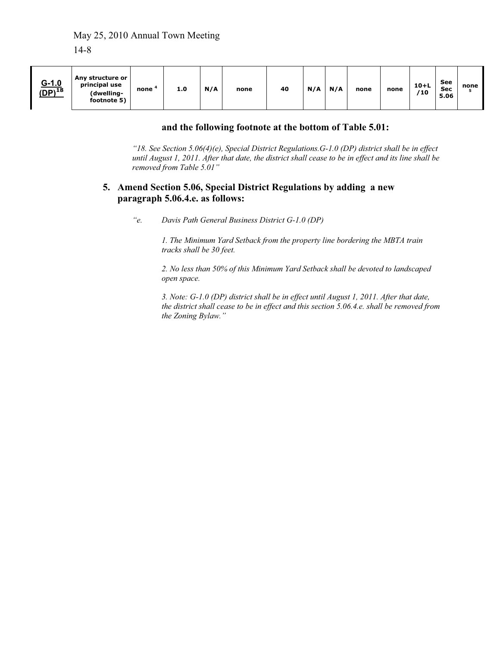| $G-1.0$<br>$(DP)^{18}$ | Any structure or<br>principal use<br>(dwelling-<br>footnote 5) | none | 1.0 | N/A | none | 40 | N/A | N/A | none | none | $10+L$<br>/10 | See<br>Sec<br>5.06 | none |
|------------------------|----------------------------------------------------------------|------|-----|-----|------|----|-----|-----|------|------|---------------|--------------------|------|
|------------------------|----------------------------------------------------------------|------|-----|-----|------|----|-----|-----|------|------|---------------|--------------------|------|

#### **and the following footnote at the bottom of Table 5.01:**

*"18. See Section 5.06(4)(e), Special District Regulations.G-1.0 (DP) district shall be in effect until August 1, 2011. After that date, the district shall cease to be in effect and its line shall be removed from Table 5.01"* 

#### **5. Amend Section 5.06, Special District Regulations by adding a new paragraph 5.06.4.e. as follows:**

*"e. Davis Path General Business District G-1.0 (DP)* 

*1. The Minimum Yard Setback from the property line bordering the MBTA train tracks shall be 30 feet.* 

*2. No less than 50% of this Minimum Yard Setback shall be devoted to landscaped open space.* 

*3. Note: G-1.0 (DP) district shall be in effect until August 1, 2011. After that date, the district shall cease to be in effect and this section 5.06.4.e. shall be removed from the Zoning Bylaw."*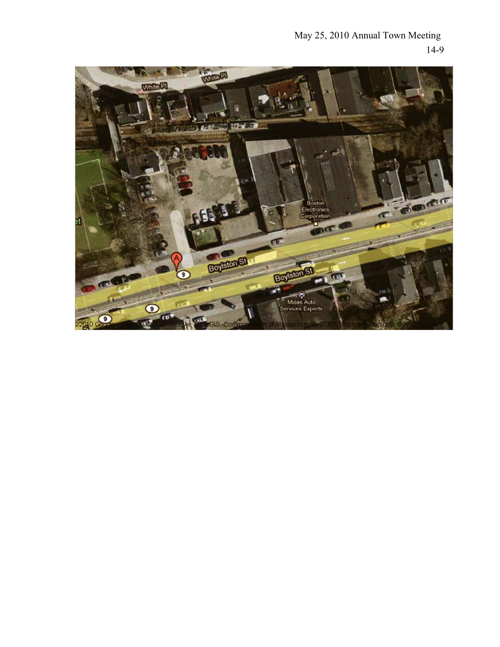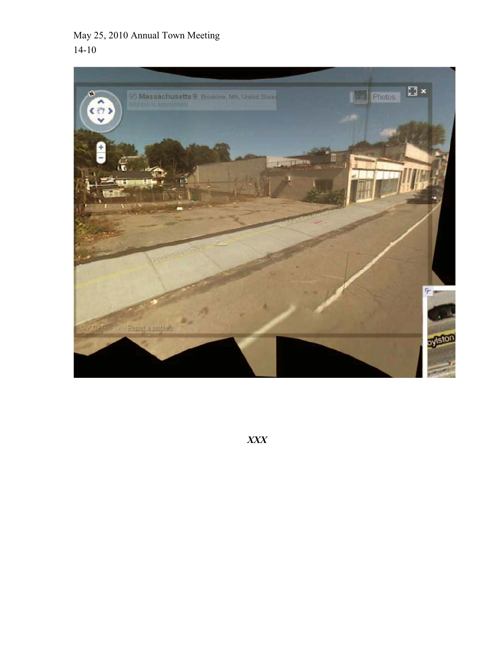# May 25, 2010 Annual Town Meeting 14-10



*XXX*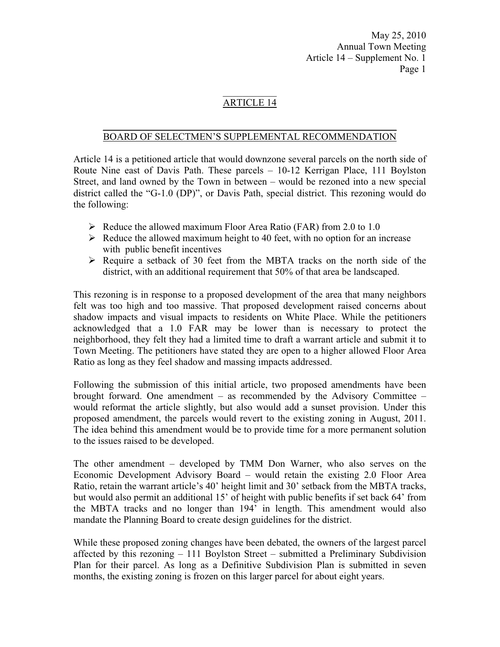#### $\overline{\phantom{a}}$ ARTICLE 14

#### \_\_\_\_\_\_\_\_\_\_\_\_\_\_\_\_\_\_\_\_\_\_\_\_\_\_\_\_\_\_\_\_\_\_\_\_\_\_\_\_\_\_\_\_\_\_\_\_\_\_\_\_\_\_\_\_\_\_\_\_ BOARD OF SELECTMEN'S SUPPLEMENTAL RECOMMENDATION

Article 14 is a petitioned article that would downzone several parcels on the north side of Route Nine east of Davis Path. These parcels – 10-12 Kerrigan Place, 111 Boylston Street, and land owned by the Town in between – would be rezoned into a new special district called the "G-1.0 (DP)", or Davis Path, special district. This rezoning would do the following:

- ▶ Reduce the allowed maximum Floor Area Ratio (FAR) from 2.0 to 1.0
- > Reduce the allowed maximum height to 40 feet, with no option for an increase with public benefit incentives
- Require a setback of 30 feet from the MBTA tracks on the north side of the district, with an additional requirement that 50% of that area be landscaped.

This rezoning is in response to a proposed development of the area that many neighbors felt was too high and too massive. That proposed development raised concerns about shadow impacts and visual impacts to residents on White Place. While the petitioners acknowledged that a 1.0 FAR may be lower than is necessary to protect the neighborhood, they felt they had a limited time to draft a warrant article and submit it to Town Meeting. The petitioners have stated they are open to a higher allowed Floor Area Ratio as long as they feel shadow and massing impacts addressed.

Following the submission of this initial article, two proposed amendments have been brought forward. One amendment – as recommended by the Advisory Committee – would reformat the article slightly, but also would add a sunset provision. Under this proposed amendment, the parcels would revert to the existing zoning in August, 2011. The idea behind this amendment would be to provide time for a more permanent solution to the issues raised to be developed.

The other amendment – developed by TMM Don Warner, who also serves on the Economic Development Advisory Board – would retain the existing 2.0 Floor Area Ratio, retain the warrant article's 40' height limit and 30' setback from the MBTA tracks, but would also permit an additional 15' of height with public benefits if set back 64' from the MBTA tracks and no longer than 194' in length. This amendment would also mandate the Planning Board to create design guidelines for the district.

While these proposed zoning changes have been debated, the owners of the largest parcel affected by this rezoning – 111 Boylston Street – submitted a Preliminary Subdivision Plan for their parcel. As long as a Definitive Subdivision Plan is submitted in seven months, the existing zoning is frozen on this larger parcel for about eight years.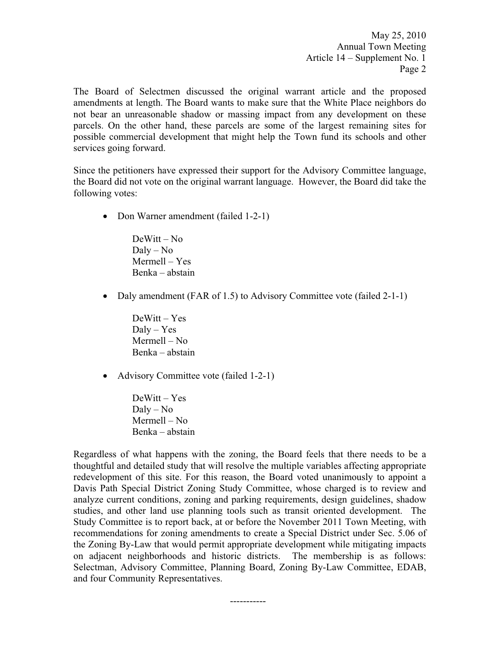The Board of Selectmen discussed the original warrant article and the proposed amendments at length. The Board wants to make sure that the White Place neighbors do not bear an unreasonable shadow or massing impact from any development on these parcels. On the other hand, these parcels are some of the largest remaining sites for possible commercial development that might help the Town fund its schools and other services going forward.

Since the petitioners have expressed their support for the Advisory Committee language, the Board did not vote on the original warrant language. However, the Board did take the following votes:

• Don Warner amendment (failed 1-2-1)

DeWitt – No Daly – No Mermell – Yes Benka – abstain

• Daly amendment (FAR of 1.5) to Advisory Committee vote (failed 2-1-1)

DeWitt – Yes  $Daly - Yes$ Mermell – No Benka – abstain

• Advisory Committee vote (failed 1-2-1)

 $DeWitt - Yes$ Daly – No Mermell – No Benka – abstain

Regardless of what happens with the zoning, the Board feels that there needs to be a thoughtful and detailed study that will resolve the multiple variables affecting appropriate redevelopment of this site. For this reason, the Board voted unanimously to appoint a Davis Path Special District Zoning Study Committee, whose charged is to review and analyze current conditions, zoning and parking requirements, design guidelines, shadow studies, and other land use planning tools such as transit oriented development. The Study Committee is to report back, at or before the November 2011 Town Meeting, with recommendations for zoning amendments to create a Special District under Sec. 5.06 of the Zoning By-Law that would permit appropriate development while mitigating impacts on adjacent neighborhoods and historic districts. The membership is as follows: Selectman, Advisory Committee, Planning Board, Zoning By-Law Committee, EDAB, and four Community Representatives.

-----------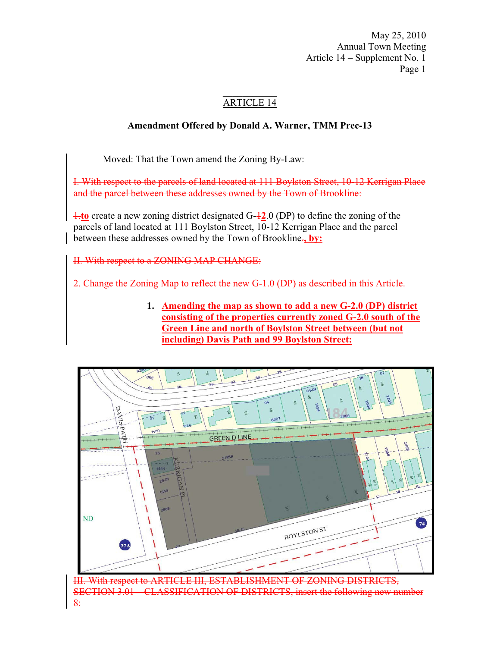#### $\overline{\phantom{a}}$ ARTICLE 14

# **Amendment Offered by Donald A. Warner, TMM Prec-13**

Moved: That the Town amend the Zoning By-Law:

I. With respect to the parcels of land located at 111 Boylston Street, 10-12 Kerrigan Place and the parcel between these addresses owned by the Town of Brookline:

1.**to** create a new zoning district designated G-1**2**.0 (DP) to define the zoning of the parcels of land located at 111 Boylston Street, 10-12 Kerrigan Place and the parcel between these addresses owned by the Town of Brookline.**, by:**

II. With respect to a ZONING MAP CHANGE:

2. Change the Zoning Map to reflect the new G-1.0 (DP) as described in this Article.

**1. Amending the map as shown to add a new G-2.0 (DP) district consisting of the properties currently zoned G-2.0 south of the Green Line and north of Boylston Street between (but not including) Davis Path and 99 Boylston Street:**



III. With respect to ARTICLE III, ESTABLISHMENT OF ZONING DISTRICTS, SECTION 3.01 – CLASSIFICATION OF DISTRICTS, insert the following new number 8: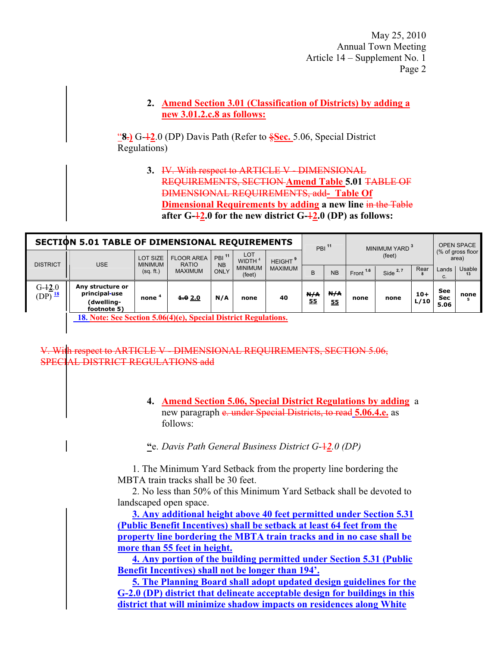### **2. Amend Section 3.01 (Classification of Districts) by adding a new 3.01.2.c.8 as follows:**

"**8**.**)** G-1**2**.0 (DP) Davis Path (Refer to §**Sec.** 5.06, Special District Regulations)

> **3.** IV. With respect to ARTICLE V - DIMENSIONAL REQUIREMENTS, SECTION **Amend Table 5.01** TABLE OF DIMENSIONAL REQUIREMENTS, add**- Table Of Dimensional Requirements by adding a new line in the Table after G-**1**2.0 for the new district G-**1**2.0 (DP) as follows:**

| <b>SECTION 5.01 TABLE OF DIMENSIONAL REQUIREMENTS</b> |                                                                                           |                            |                                                                                                                                                                                     |                            |                           |                     |                   |           |                      | MINIMUM YARD <sup>3</sup> | <b>OPEN SPACE</b> |                            |              |
|-------------------------------------------------------|-------------------------------------------------------------------------------------------|----------------------------|-------------------------------------------------------------------------------------------------------------------------------------------------------------------------------------|----------------------------|---------------------------|---------------------|-------------------|-----------|----------------------|---------------------------|-------------------|----------------------------|--------------|
| <b>DISTRICT</b>                                       | <b>USE</b>                                                                                | LOT SIZE<br><b>MINIMUM</b> | <b>FLOOR AREA</b><br><b>RATIO</b>                                                                                                                                                   | <b>PBI</b> 11<br><b>NB</b> | LOT<br>WIDTH <sup>4</sup> | HEIGHT <sup>9</sup> | PRI <sup>11</sup> |           | (feet)               |                           |                   | (% of gross floor<br>area) |              |
|                                                       | (sq. ft.)                                                                                 |                            | <b>MAXIMUM</b>                                                                                                                                                                      | ONLY                       | <b>MINIMUM</b><br>(feet)  | <b>MAXIMUM</b>      | в                 | <b>NB</b> | Front <sup>1.6</sup> | Side $2,7$                | Rear              | Lands                      | Usable<br>13 |
| $G-12.0$<br>$(DP)$ <sup>18</sup>                      | Any structure or<br>principal-use<br>(dwelling-<br>footnote 5)                            | none <sup>4</sup>          | 4.02.0                                                                                                                                                                              | N/A                        | none                      | 40                  | N/A<br>55         | N/A<br>55 | none                 | none                      | $10+$<br>L/10     | See<br><b>Sec</b><br>5.06  | none         |
|                                                       | $\overline{a}$ $\overline{a}$ $\overline{a}$ $\overline{a}$ $\overline{a}$ $\overline{a}$ |                            | $\blacksquare$ $\blacksquare$ $\blacksquare$ $\blacksquare$ $\blacksquare$ $\blacksquare$ $\blacksquare$ $\blacksquare$ $\blacksquare$ $\blacksquare$ $\blacksquare$ $\blacksquare$ | $\cdots$                   |                           | .                   |                   |           |                      |                           |                   |                            |              |

**18. Note: See Section 5.06(4)(e), Special District Regulations.**

# V. With respect to ARTICLE V - DIMENSIONAL REQUIREMENTS, SECTION 5.06, SPECIAL DISTRICT REGULATIONS add

**4. Amend Section 5.06, Special District Regulations by adding** a new paragraph e. under Special Districts, to read **5.06.4.e.** as follows:

**"**e. *Davis Path General Business District G-*1*2.0 (DP)* 

1. The Minimum Yard Setback from the property line bordering the MBTA train tracks shall be 30 feet.

2. No less than 50% of this Minimum Yard Setback shall be devoted to landscaped open space.

**3. Any additional height above 40 feet permitted under Section 5.31 (Public Benefit Incentives) shall be setback at least 64 feet from the property line bordering the MBTA train tracks and in no case shall be more than 55 feet in height.** 

**4. Any portion of the building permitted under Section 5.31 (Public Benefit Incentives) shall not be longer than 194'.**

**5. The Planning Board shall adopt updated design guidelines for the G-2.0 (DP) district that delineate acceptable design for buildings in this district that will minimize shadow impacts on residences along White**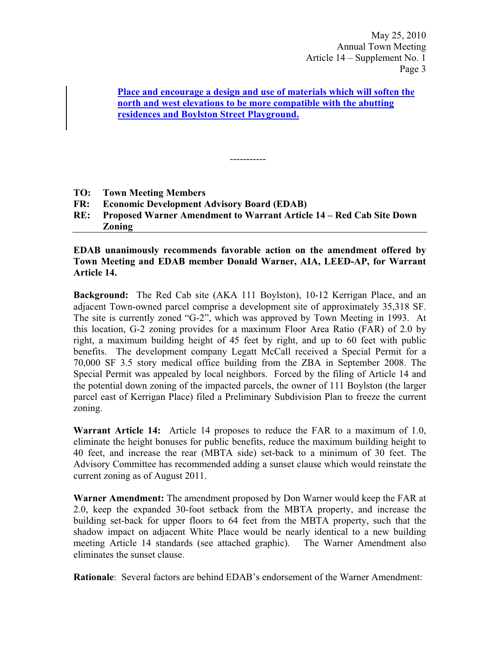**Place and encourage a design and use of materials which will soften the north and west elevations to be more compatible with the abutting residences and Boylston Street Playground.**

| <b>TO:</b> Town Meeting Members<br><b>FR:</b> Economic Development Advisory Board (EDAB)<br>RE: Proposed Warner Amendment to Warrant Article 14 – Red Cab Site Down |
|---------------------------------------------------------------------------------------------------------------------------------------------------------------------|
| <b>Zoning</b>                                                                                                                                                       |
|                                                                                                                                                                     |

-----------

#### **EDAB unanimously recommends favorable action on the amendment offered by Town Meeting and EDAB member Donald Warner, AIA, LEED-AP, for Warrant Article 14.**

**Background:** The Red Cab site (AKA 111 Boylston), 10-12 Kerrigan Place, and an adjacent Town-owned parcel comprise a development site of approximately 35,318 SF. The site is currently zoned "G-2", which was approved by Town Meeting in 1993. At this location, G-2 zoning provides for a maximum Floor Area Ratio (FAR) of 2.0 by right, a maximum building height of 45 feet by right, and up to 60 feet with public benefits. The development company Legatt McCall received a Special Permit for a 70,000 SF 3.5 story medical office building from the ZBA in September 2008. The Special Permit was appealed by local neighbors. Forced by the filing of Article 14 and the potential down zoning of the impacted parcels, the owner of 111 Boylston (the larger parcel east of Kerrigan Place) filed a Preliminary Subdivision Plan to freeze the current zoning.

**Warrant Article 14:** Article 14 proposes to reduce the FAR to a maximum of 1.0, eliminate the height bonuses for public benefits, reduce the maximum building height to 40 feet, and increase the rear (MBTA side) set-back to a minimum of 30 feet. The Advisory Committee has recommended adding a sunset clause which would reinstate the current zoning as of August 2011.

**Warner Amendment:** The amendment proposed by Don Warner would keep the FAR at 2.0, keep the expanded 30-foot setback from the MBTA property, and increase the building set-back for upper floors to 64 feet from the MBTA property, such that the shadow impact on adjacent White Place would be nearly identical to a new building meeting Article 14 standards (see attached graphic). The Warner Amendment also eliminates the sunset clause.

**Rationale**: Several factors are behind EDAB's endorsement of the Warner Amendment: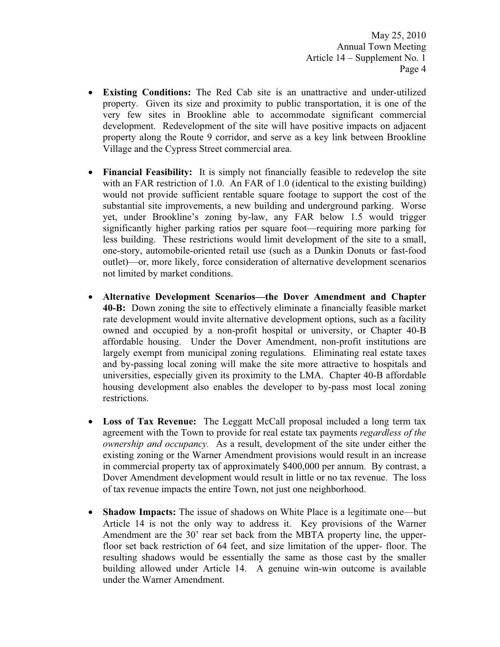- **Existing Conditions:** The Red Cab site is an unattractive and under-utilized property. Given its size and proximity to public transportation, it is one of the very few sites in Brookline able to accommodate significant commercial development. Redevelopment of the site will have positive impacts on adjacent property along the Route 9 corridor, and serve as a key link between Brookline Village and the Cypress Street commercial area.
- $\bullet$  **Financial Feasibility:** It is simply not financially feasible to redevelop the site with an FAR restriction of 1.0. An FAR of 1.0 (identical to the existing building) would not provide sufficient rentable square footage to support the cost of the substantial site improvements, a new building and underground parking. Worse yet, under Brookline's zoning by-law, any FAR below 1.5 would trigger significantly higher parking ratios per square foot—requiring more parking for less building. These restrictions would limit development of the site to a small, one-story, automobile-oriented retail use (such as a Dunkin Donuts or fast-food outlet)—or, more likely, force consideration of alternative development scenarios not limited by market conditions.
- **Alternative Development Scenarios—the Dover Amendment and Chapter 40-B:** Down zoning the site to effectively eliminate a financially feasible market rate development would invite alternative development options, such as a facility owned and occupied by a non-profit hospital or university, or Chapter 40-B affordable housing. Under the Dover Amendment, non-profit institutions are largely exempt from municipal zoning regulations. Eliminating real estate taxes and by-passing local zoning will make the site more attractive to hospitals and universities, especially given its proximity to the LMA. Chapter 40-B affordable housing development also enables the developer to by-pass most local zoning restrictions.
- $\bullet$ Loss of Tax Revenue: The Leggatt McCall proposal included a long term tax agreement with the Town to provide for real estate tax payments *regardless of the ownership and occupancy.* As a result, development of the site under either the existing zoning or the Warner Amendment provisions would result in an increase in commercial property tax of approximately \$400,000 per annum. By contrast, a Dover Amendment development would result in little or no tax revenue. The loss of tax revenue impacts the entire Town, not just one neighborhood.
- **Shadow Impacts:** The issue of shadows on White Place is a legitimate one—but Article 14 is not the only way to address it. Key provisions of the Warner Amendment are the 30' rear set back from the MBTA property line, the upperfloor set back restriction of 64 feet, and size limitation of the upper- floor. The resulting shadows would be essentially the same as those cast by the smaller building allowed under Article 14. A genuine win-win outcome is available under the Warner Amendment.